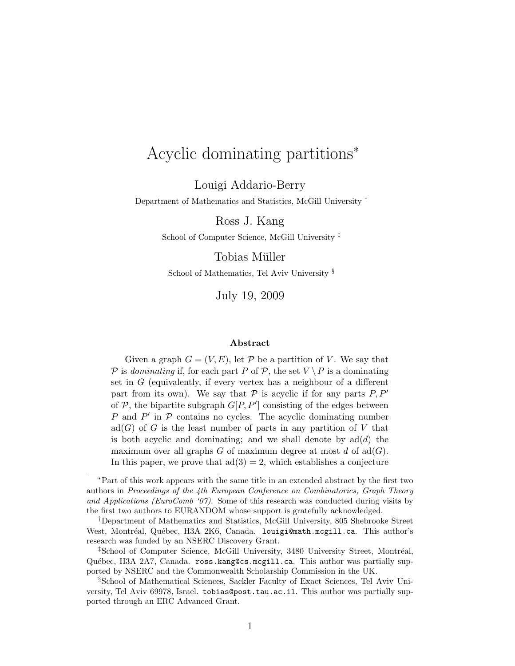# Acyclic dominating partitions<sup>∗</sup>

Louigi Addario-Berry

Department of Mathematics and Statistics, McGill University †

Ross J. Kang

School of Computer Science, McGill University<sup>‡</sup>

Tobias Müller

School of Mathematics, Tel Aviv University §

July 19, 2009

#### Abstract

Given a graph  $G = (V, E)$ , let P be a partition of V. We say that P is dominating if, for each part P of P, the set  $V \backslash P$  is a dominating set in  $G$  (equivalently, if every vertex has a neighbour of a different part from its own). We say that  $P$  is acyclic if for any parts  $P, P'$ of  $P$ , the bipartite subgraph  $G[P, P']$  consisting of the edges between  $P$  and  $P'$  in  $P$  contains no cycles. The acyclic dominating number  $ad(G)$  of G is the least number of parts in any partition of V that is both acyclic and dominating; and we shall denote by  $\text{ad}(d)$  the maximum over all graphs G of maximum degree at most d of  $\text{ad}(G)$ . In this paper, we prove that  $ad(3) = 2$ , which establishes a conjecture

<sup>∗</sup>Part of this work appears with the same title in an extended abstract by the first two authors in Proceedings of the 4th European Conference on Combinatorics, Graph Theory and Applications (EuroComb '07). Some of this research was conducted during visits by the first two authors to EURANDOM whose support is gratefully acknowledged.

<sup>†</sup>Department of Mathematics and Statistics, McGill University, 805 Shebrooke Street West, Montréal, Québec, H3A 2K6, Canada. louigi@math.mcgill.ca. This author's research was funded by an NSERC Discovery Grant.

<sup>&</sup>lt;sup>‡</sup>School of Computer Science, McGill University, 3480 University Street, Montréal, Québec, H3A 2A7, Canada. ross.kang@cs.mcgill.ca. This author was partially supported by NSERC and the Commonwealth Scholarship Commission in the UK.

<sup>§</sup>School of Mathematical Sciences, Sackler Faculty of Exact Sciences, Tel Aviv University, Tel Aviv 69978, Israel. tobias@post.tau.ac.il. This author was partially supported through an ERC Advanced Grant.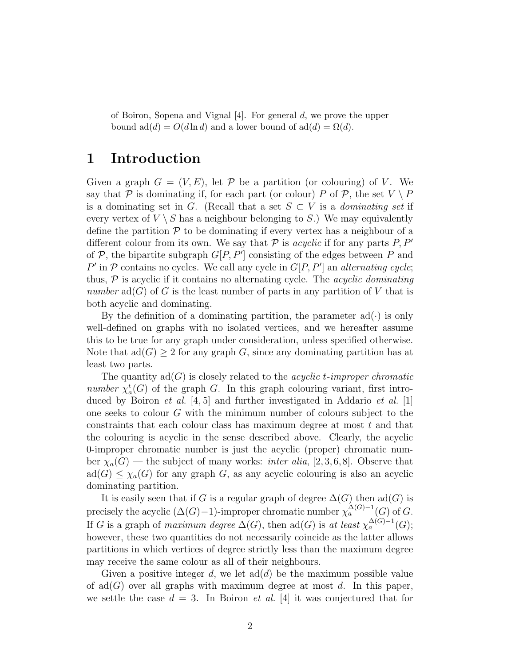of Boiron, Sopena and Vignal [4]. For general d, we prove the upper bound  $\text{ad}(d) = O(d \ln d)$  and a lower bound of  $\text{ad}(d) = \Omega(d)$ .

## 1 Introduction

Given a graph  $G = (V, E)$ , let P be a partition (or colouring) of V. We say that P is dominating if, for each part (or colour) P of P, the set  $V \setminus P$ is a dominating set in G. (Recall that a set  $S \subset V$  is a *dominating set* if every vertex of  $V \setminus S$  has a neighbour belonging to S.) We may equivalently define the partition  $P$  to be dominating if every vertex has a neighbour of a different colour from its own. We say that  $P$  is *acyclic* if for any parts  $P, P'$ of  $P$ , the bipartite subgraph  $G[P, P']$  consisting of the edges between  $P$  and  $P'$  in  $P$  contains no cycles. We call any cycle in  $G[P, P']$  an *alternating cycle*; thus, P is acyclic if it contains no alternating cycle. The *acyclic dominating number*  $ad(G)$  of G is the least number of parts in any partition of V that is both acyclic and dominating.

By the definition of a dominating partition, the parameter  $ad(\cdot)$  is only well-defined on graphs with no isolated vertices, and we hereafter assume this to be true for any graph under consideration, unless specified otherwise. Note that  $\text{ad}(G) \geq 2$  for any graph G, since any dominating partition has at least two parts.

The quantity ad(G) is closely related to the *acyclic* t*-improper chromatic number*  $\chi_a^t(G)$  of the graph G. In this graph colouring variant, first introduced by Boiron *et al.* [4, 5] and further investigated in Addario *et al.* [1] one seeks to colour G with the minimum number of colours subject to the constraints that each colour class has maximum degree at most t and that the colouring is acyclic in the sense described above. Clearly, the acyclic 0-improper chromatic number is just the acyclic (proper) chromatic number  $\chi_a(G)$  — the subject of many works: *inter alia*, [2, 3, 6, 8]. Observe that  $\text{ad}(G) \leq \chi_a(G)$  for any graph G, as any acyclic colouring is also an acyclic dominating partition.

It is easily seen that if G is a regular graph of degree  $\Delta(G)$  then ad(G) is precisely the acyclic  $(\Delta(G)-1)$ -improper chromatic number  $\chi_a^{\Delta(G)-1}(G)$  of G. If G is a graph of *maximum degree*  $\Delta(G)$ , then  $\text{ad}(G)$  is *at least*  $\chi_a^{\Delta(G)-1}(G)$ ; however, these two quantities do not necessarily coincide as the latter allows partitions in which vertices of degree strictly less than the maximum degree may receive the same colour as all of their neighbours.

Given a positive integer d, we let  $ad(d)$  be the maximum possible value of  $\text{ad}(G)$  over all graphs with maximum degree at most d. In this paper, we settle the case  $d = 3$ . In Boiron *et al.* [4] it was conjectured that for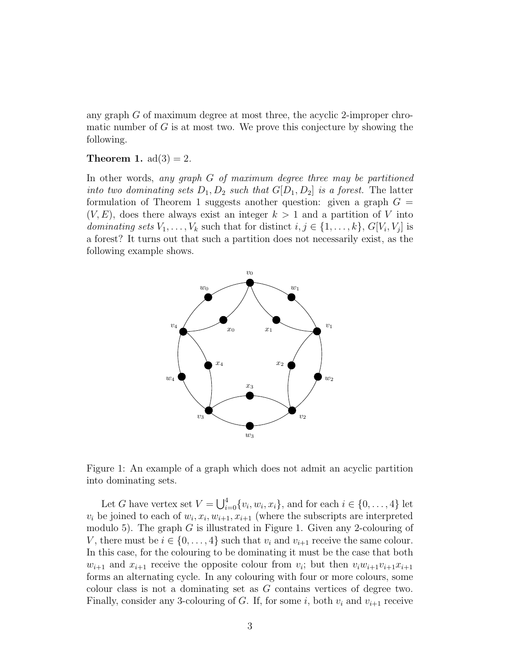any graph G of maximum degree at most three, the acyclic 2-improper chromatic number of  $G$  is at most two. We prove this conjecture by showing the following.

#### **Theorem 1.**  $ad(3) = 2$ .

In other words, *any graph* G *of maximum degree three may be partitioned into two dominating sets*  $D_1, D_2$  *such that*  $G[D_1, D_2]$  *is a forest.* The latter formulation of Theorem 1 suggests another question: given a graph  $G =$  $(V, E)$ , does there always exist an integer  $k > 1$  and a partition of V into *dominating sets*  $V_1, \ldots, V_k$  such that for distinct  $i, j \in \{1, \ldots, k\}, G[V_i, V_j]$  is a forest? It turns out that such a partition does not necessarily exist, as the following example shows.



Figure 1: An example of a graph which does not admit an acyclic partition into dominating sets.

Let G have vertex set  $V = \bigcup_{i=0}^{4} \{v_i, w_i, x_i\}$ , and for each  $i \in \{0, \ldots, 4\}$  let  $v_i$  be joined to each of  $w_i, x_i, w_{i+1}, x_{i+1}$  (where the subscripts are interpreted modulo 5). The graph  $G$  is illustrated in Figure 1. Given any 2-colouring of V, there must be  $i \in \{0, \ldots, 4\}$  such that  $v_i$  and  $v_{i+1}$  receive the same colour. In this case, for the colouring to be dominating it must be the case that both  $w_{i+1}$  and  $x_{i+1}$  receive the opposite colour from  $v_i$ ; but then  $v_i w_{i+1} v_{i+1} x_{i+1}$ forms an alternating cycle. In any colouring with four or more colours, some colour class is not a dominating set as G contains vertices of degree two. Finally, consider any 3-colouring of G. If, for some i, both  $v_i$  and  $v_{i+1}$  receive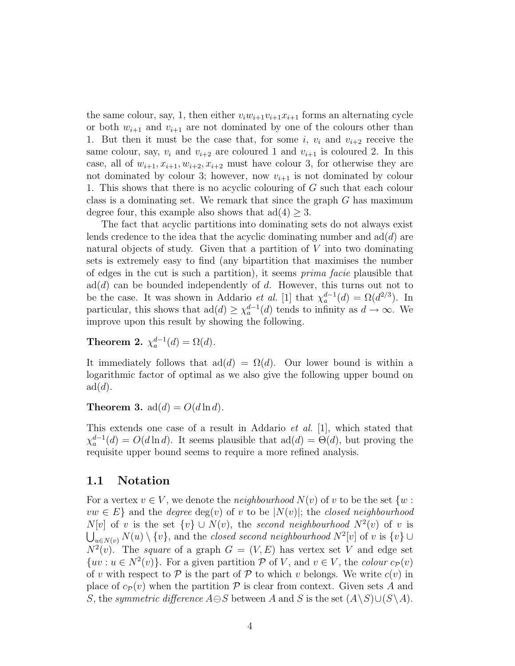the same colour, say, 1, then either  $v_iw_{i+1}v_{i+1}x_{i+1}$  forms an alternating cycle or both  $w_{i+1}$  and  $v_{i+1}$  are not dominated by one of the colours other than 1. But then it must be the case that, for some i,  $v_i$  and  $v_{i+2}$  receive the same colour, say,  $v_i$  and  $v_{i+2}$  are coloured 1 and  $v_{i+1}$  is coloured 2. In this case, all of  $w_{i+1}, x_{i+1}, w_{i+2}, x_{i+2}$  must have colour 3, for otherwise they are not dominated by colour 3; however, now  $v_{i+1}$  is not dominated by colour 1. This shows that there is no acyclic colouring of G such that each colour class is a dominating set. We remark that since the graph  $G$  has maximum degree four, this example also shows that  $ad(4) \geq 3$ .

The fact that acyclic partitions into dominating sets do not always exist lends credence to the idea that the acyclic dominating number and  $\text{ad}(d)$  are natural objects of study. Given that a partition of  $V$  into two dominating sets is extremely easy to find (any bipartition that maximises the number of edges in the cut is such a partition), it seems *prima facie* plausible that  $ad(d)$  can be bounded independently of d. However, this turns out not to be the case. It was shown in Addario *et al.* [1] that  $\chi_a^{d-1}(d) = \Omega(d^{2/3})$ . In particular, this shows that  $\text{ad}(d) \geq \chi_a^{d-1}(d)$  tends to infinity as  $d \to \infty$ . We improve upon this result by showing the following.

#### **Theorem 2.**  $\chi_a^{d-1}(d) = \Omega(d)$ .

It immediately follows that  $ad(d) = \Omega(d)$ . Our lower bound is within a logarithmic factor of optimal as we also give the following upper bound on  $ad(d).$ 

**Theorem 3.**  $ad(d) = O(d \ln d)$ .

This extends one case of a result in Addario *et al.* [1], which stated that  $\chi_a^{d-1}(d) = O(d \ln d)$ . It seems plausible that  $\text{ad}(d) = \Theta(d)$ , but proving the requisite upper bound seems to require a more refined analysis.

#### 1.1 Notation

For a vertex  $v \in V$ , we denote the *neighbourhood*  $N(v)$  of v to be the set  $\{w:$  $vw \in E$  and the *degree* deg(v) of v to be  $|N(v)|$ ; the *closed neighbourhood*  $N[v]$  of v is the set  $\{v\} \cup N(v)$ , the *second neighbourhood*  $N^2(v)$  of v is  $\bigcup_{u \in N(v)} N(u) \setminus \{v\}$ , and the *closed second neighbourhood*  $N^2[v]$  of v is  $\{v\} \cup$  $N^2(v)$ . The *square* of a graph  $G = (V, E)$  has vertex set V and edge set  $\{uv : u \in N^2(v)\}.$  For a given partition  $P$  of V, and  $v \in V$ , the *colour*  $c_P(v)$ of v with respect to  $P$  is the part of P to which v belongs. We write  $c(v)$  in place of  $c_{\mathcal{P}}(v)$  when the partition  $\mathcal P$  is clear from context. Given sets A and S, the *symmetric difference*  $A\ominus S$  between A and S is the set  $(A\setminus S)\cup (S\setminus A)$ .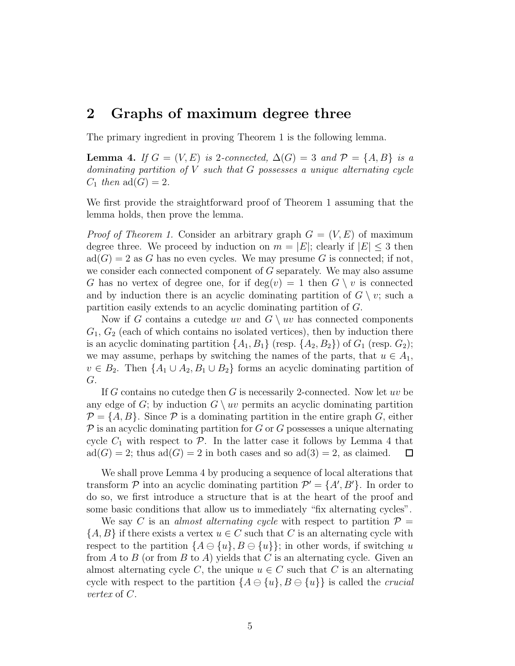## 2 Graphs of maximum degree three

The primary ingredient in proving Theorem 1 is the following lemma.

**Lemma 4.** *If*  $G = (V, E)$  *is* 2*-connected,*  $\Delta(G) = 3$  *and*  $P = \{A, B\}$  *is a dominating partition of* V *such that* G *possesses a unique alternating cycle*  $C_1$  *then*  $ad(G) = 2$ *.* 

We first provide the straightforward proof of Theorem 1 assuming that the lemma holds, then prove the lemma.

*Proof of Theorem 1.* Consider an arbitrary graph  $G = (V, E)$  of maximum degree three. We proceed by induction on  $m = |E|$ ; clearly if  $|E| \leq 3$  then  $ad(G) = 2$  as G has no even cycles. We may presume G is connected; if not, we consider each connected component of  $G$  separately. We may also assume G has no vertex of degree one, for if  $deg(v) = 1$  then  $G \setminus v$  is connected and by induction there is an acyclic dominating partition of  $G \setminus v$ ; such a partition easily extends to an acyclic dominating partition of G.

Now if G contains a cutedge uv and  $G \setminus uv$  has connected components  $G_1, G_2$  (each of which contains no isolated vertices), then by induction there is an acyclic dominating partition  $\{A_1, B_1\}$  (resp.  $\{A_2, B_2\}$ ) of  $G_1$  (resp.  $G_2$ ); we may assume, perhaps by switching the names of the parts, that  $u \in A_1$ ,  $v \in B_2$ . Then  $\{A_1 \cup A_2, B_1 \cup B_2\}$  forms an acyclic dominating partition of G.

If G contains no cutedge then G is necessarily 2-connected. Now let  $uv$  be any edge of G; by induction  $G \setminus uv$  permits an acyclic dominating partition  $\mathcal{P} = \{A, B\}$ . Since  $\mathcal{P}$  is a dominating partition in the entire graph G, either  $P$  is an acyclic dominating partition for G or G possesses a unique alternating cycle  $C_1$  with respect to  $\mathcal{P}$ . In the latter case it follows by Lemma 4 that  $ad(G) = 2$ ; thus  $ad(G) = 2$  in both cases and so  $ad(3) = 2$ , as claimed.  $\Box$ 

We shall prove Lemma 4 by producing a sequence of local alterations that transform  $P$  into an acyclic dominating partition  $P' = \{A', B'\}$ . In order to do so, we first introduce a structure that is at the heart of the proof and some basic conditions that allow us to immediately "fix alternating cycles".

We say C is an *almost alternating cycle* with respect to partition  $\mathcal{P} =$  ${A, B}$  if there exists a vertex  $u \in C$  such that C is an alternating cycle with respect to the partition  $\{A \ominus \{u\}, B \ominus \{u\}\}\$ ; in other words, if switching u from A to B (or from B to A) yields that C is an alternating cycle. Given an almost alternating cycle C, the unique  $u \in C$  such that C is an alternating cycle with respect to the partition  $\{A \ominus \{u\}, B \ominus \{u\}\}\$ is called the *crucial vertex* of C.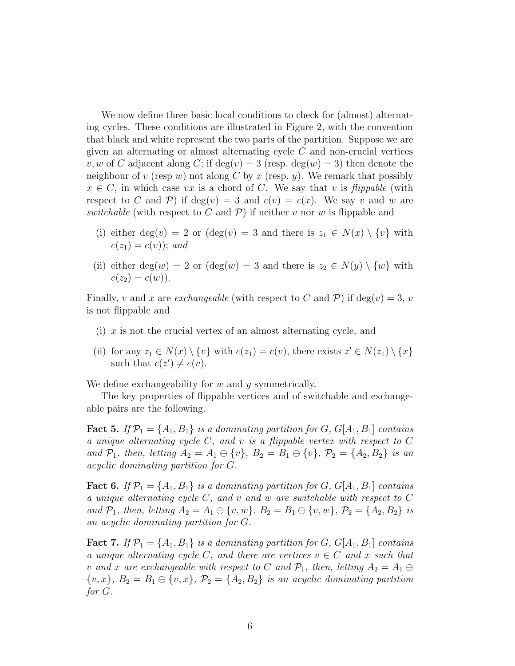We now define three basic local conditions to check for (almost) alternating cycles. These conditions are illustrated in Figure 2, with the convention that black and white represent the two parts of the partition. Suppose we are given an alternating or almost alternating cycle  $C$  and non-crucial vertices v, w of C adjacent along C; if  $deg(v) = 3$  (resp.  $deg(w) = 3$ ) then denote the neighbour of v (resp w) not along C by x (resp. y). We remark that possibly  $x \in C$ , in which case vx is a chord of C. We say that v is *flippable* (with respect to C and P) if deg(v) = 3 and  $c(v) = c(x)$ . We say v and w are *switchable* (with respect to C and  $\mathcal{P}$ ) if neither v nor w is flippable and

- (i) either deg(v) = 2 or (deg(v) = 3 and there is  $z_1 \in N(x) \setminus \{v\}$  with  $c(z_1) = c(v)$ ; *and*
- (ii) either deg(w) = 2 or (deg(w) = 3 and there is  $z_2 \in N(y) \setminus \{w\}$  with  $c(z_2) = c(w)$ .

Finally, v and x are *exchangeable* (with respect to C and P) if deg(v) = 3, v is not flippable and

- (i)  $x$  is not the crucial vertex of an almost alternating cycle, and
- (ii) for any  $z_1 \in N(x) \setminus \{v\}$  with  $c(z_1) = c(v)$ , there exists  $z' \in N(z_1) \setminus \{x\}$ such that  $c(z') \neq c(v)$ .

We define exchangeability for  $w$  and  $y$  symmetrically.

The key properties of flippable vertices and of switchable and exchangeable pairs are the following.

**Fact 5.** If  $\mathcal{P}_1 = \{A_1, B_1\}$  is a dominating partition for G,  $G[A_1, B_1]$  contains *a unique alternating cycle* C*, and* v *is a flippable vertex with respect to* C *and*  $\mathcal{P}_1$ *, then, letting*  $A_2 = A_1 \ominus \{v\}$ *,*  $B_2 = B_1 \ominus \{v\}$ *,*  $\mathcal{P}_2 = \{A_2, B_2\}$  *is an acyclic dominating partition for* G*.*

**Fact 6.** If  $\mathcal{P}_1 = \{A_1, B_1\}$  is a dominating partition for G,  $G[A_1, B_1]$  contains *a unique alternating cycle* C*, and* v *and* w *are switchable with respect to* C *and*  $\mathcal{P}_1$ *, then, letting*  $A_2 = A_1 \ominus \{v, w\}$ *,*  $B_2 = B_1 \ominus \{v, w\}$ *,*  $\mathcal{P}_2 = \{A_2, B_2\}$  *is an acyclic dominating partition for* G*.*

**Fact 7.** *If*  $\mathcal{P}_1 = \{A_1, B_1\}$  *is a dominating partition for*  $G$ *,*  $G[A_1, B_1]$  *contains a unique alternating cycle* C, and there are vertices  $v \in C$  and x such that v and x are exchangeable with respect to C and  $\mathcal{P}_1$ , then, letting  $A_2 = A_1 \ominus$  $\{v, x\}, B_2 = B_1 \ominus \{v, x\}, \mathcal{P}_2 = \{A_2, B_2\}$  *is an acyclic dominating partition for* G*.*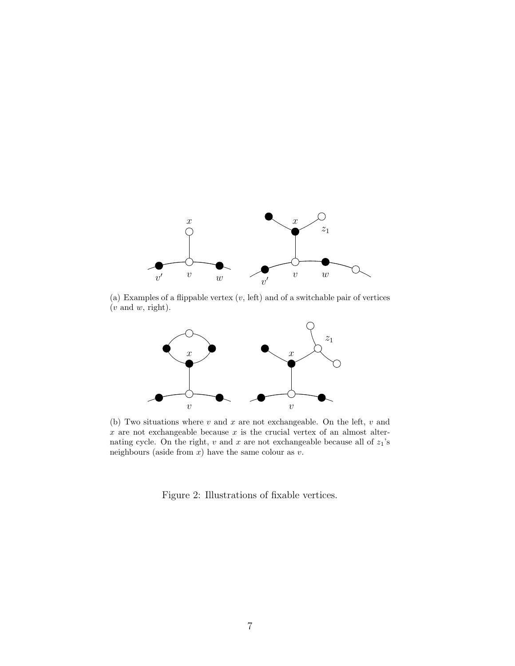

(a) Examples of a flippable vertex  $(v, \text{ left})$  and of a switchable pair of vertices  $(v \text{ and } w, \text{ right}).$ 



(b) Two situations where  $v$  and  $x$  are not exchangeable. On the left,  $v$  and  $x$  are not exchangeable because  $x$  is the crucial vertex of an almost alternating cycle. On the right,  $v$  and  $x$  are not exchangeable because all of  $z_1$ 's neighbours (aside from  $x$ ) have the same colour as  $v$ .

Figure 2: Illustrations of fixable vertices.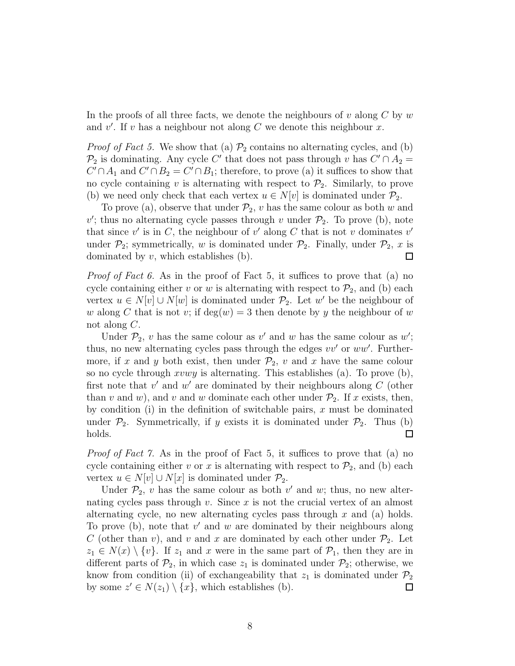In the proofs of all three facts, we denote the neighbours of v along  $C$  by  $w$ and  $v'$ . If v has a neighbour not along C we denote this neighbour x.

*Proof of Fact 5.* We show that (a)  $\mathcal{P}_2$  contains no alternating cycles, and (b)  $\mathcal{P}_2$  is dominating. Any cycle C' that does not pass through v has  $C' \cap A_2 =$  $C' \cap A_1$  and  $C' \cap B_2 = C' \cap B_1$ ; therefore, to prove (a) it suffices to show that no cycle containing v is alternating with respect to  $\mathcal{P}_2$ . Similarly, to prove (b) we need only check that each vertex  $u \in N[v]$  is dominated under  $\mathcal{P}_2$ .

To prove (a), observe that under  $\mathcal{P}_2$ , v has the same colour as both w and  $v'$ ; thus no alternating cycle passes through v under  $\mathcal{P}_2$ . To prove (b), note that since  $v'$  is in C, the neighbour of  $v'$  along C that is not v dominates  $v'$ under  $\mathcal{P}_2$ ; symmetrically, w is dominated under  $\mathcal{P}_2$ . Finally, under  $\mathcal{P}_2$ , x is dominated by  $v$ , which establishes (b).  $\Box$ 

*Proof of Fact 6.* As in the proof of Fact 5, it suffices to prove that (a) no cycle containing either v or w is alternating with respect to  $\mathcal{P}_2$ , and (b) each vertex  $u \in N[v] \cup N[w]$  is dominated under  $\mathcal{P}_2$ . Let w' be the neighbour of w along C that is not v; if  $deg(w) = 3$  then denote by y the neighbour of w not along C.

Under  $\mathcal{P}_2$ , v has the same colour as v' and w has the same colour as w'; thus, no new alternating cycles pass through the edges  $vv'$  or  $ww'$ . Furthermore, if x and y both exist, then under  $\mathcal{P}_2$ , v and x have the same colour so no cycle through xvwy is alternating. This establishes (a). To prove (b), first note that  $v'$  and  $w'$  are dominated by their neighbours along  $C$  (other than v and w), and v and w dominate each other under  $\mathcal{P}_2$ . If x exists, then, by condition (i) in the definition of switchable pairs,  $x$  must be dominated under  $\mathcal{P}_2$ . Symmetrically, if y exists it is dominated under  $\mathcal{P}_2$ . Thus (b) holds. □

*Proof of Fact 7.* As in the proof of Fact 5, it suffices to prove that (a) no cycle containing either v or x is alternating with respect to  $\mathcal{P}_2$ , and (b) each vertex  $u \in N[v] \cup N[x]$  is dominated under  $\mathcal{P}_2$ .

Under  $P_2$ , v has the same colour as both v' and w; thus, no new alternating cycles pass through  $v$ . Since  $x$  is not the crucial vertex of an almost alternating cycle, no new alternating cycles pass through  $x$  and (a) holds. To prove (b), note that  $v'$  and  $w$  are dominated by their neighbours along C (other than v), and v and x are dominated by each other under  $\mathcal{P}_2$ . Let  $z_1 \in N(x) \setminus \{v\}$ . If  $z_1$  and x were in the same part of  $\mathcal{P}_1$ , then they are in different parts of  $\mathcal{P}_2$ , in which case  $z_1$  is dominated under  $\mathcal{P}_2$ ; otherwise, we know from condition (ii) of exchangeability that  $z_1$  is dominated under  $\mathcal{P}_2$ by some  $z' \in N(z_1) \setminus \{x\}$ , which establishes (b).  $\Box$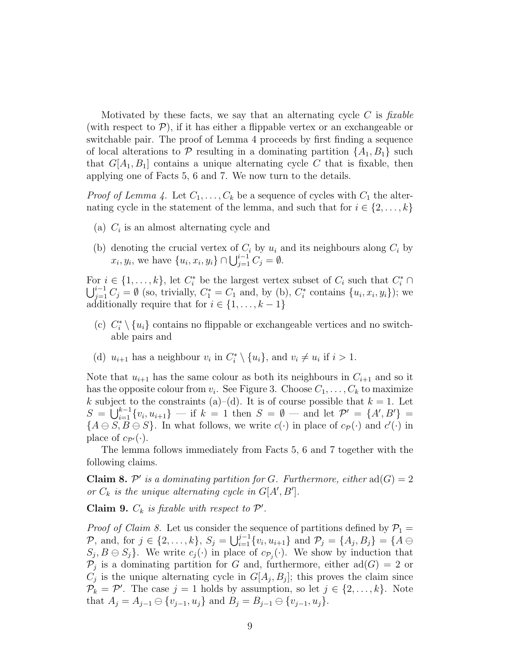Motivated by these facts, we say that an alternating cycle C is *fixable* (with respect to  $P$ ), if it has either a flippable vertex or an exchangeable or switchable pair. The proof of Lemma 4 proceeds by first finding a sequence of local alterations to  $P$  resulting in a dominating partition  $\{A_1, B_1\}$  such that  $G[A_1, B_1]$  contains a unique alternating cycle C that is fixable, then applying one of Facts 5, 6 and 7. We now turn to the details.

*Proof of Lemma 4.* Let  $C_1, \ldots, C_k$  be a sequence of cycles with  $C_1$  the alternating cycle in the statement of the lemma, and such that for  $i \in \{2, \ldots, k\}$ 

- (a)  $C_i$  is an almost alternating cycle and
- (b) denoting the crucial vertex of  $C_i$  by  $u_i$  and its neighbours along  $C_i$  by  $x_i, y_i$ , we have  $\{u_i, x_i, y_i\} \cap \bigcup_{j=1}^{i-1} C_j = \emptyset$ .

For  $i \in \{1, \ldots, k\}$ , let  $C_i^*$  be the largest vertex subset of  $C_i$  such that  $C_i^* \cap$  $\bigcup_{j=1}^{i-1} C_j = \emptyset$  (so, trivially,  $C_1^* = C_1$  and, by (b),  $C_i^*$  contains  $\{u_i, x_i, y_i\}$ ; we additionally require that for  $i \in \{1, \ldots, k-1\}$ 

- (c)  $C_i^* \setminus \{u_i\}$  contains no flippable or exchangeable vertices and no switchable pairs and
- (d)  $u_{i+1}$  has a neighbour  $v_i$  in  $C_i^* \setminus \{u_i\}$ , and  $v_i \neq u_i$  if  $i > 1$ .

Note that  $u_{i+1}$  has the same colour as both its neighbours in  $C_{i+1}$  and so it has the opposite colour from  $v_i$ . See Figure 3. Choose  $C_1, \ldots, C_k$  to maximize k subject to the constraints (a)–(d). It is of course possible that  $k = 1$ . Let  $S = \bigcup_{i=1}^{k-1} \{v_i, u_{i+1}\}$  — if  $k = 1$  then  $S = \emptyset$  — and let  $\mathcal{P}' = \{A', B'\}$  =  ${A \ominus S, B \ominus S}$ . In what follows, we write  $c(\cdot)$  in place of  $c_{\mathcal{P}}(\cdot)$  and  $c'(\cdot)$  in place of  $c_{\mathcal{P}}(\cdot)$ .

The lemma follows immediately from Facts 5, 6 and 7 together with the following claims.

**Claim 8.**  $\mathcal{P}'$  is a dominating partition for G. Furthermore, either  $ad(G) = 2$ *or*  $C_k$  *is the unique alternating cycle in*  $G[A', B']$ *.* 

**Claim 9.**  $C_k$  is fixable with respect to  $\mathcal{P}'$ .

*Proof of Claim 8.* Let us consider the sequence of partitions defined by  $P_1 =$ P, and, for  $j \in \{2, ..., k\}$ ,  $S_j = \bigcup_{i=1}^{j-1} \{v_i, u_{i+1}\}\$ and  $\mathcal{P}_j = \{A_j, B_j\} = \{A \ominus \}$  $S_j, B \ominus S_j$ . We write  $c_j(\cdot)$  in place of  $c_{\mathcal{P}_j}(\cdot)$ . We show by induction that  $\mathcal{P}_j$  is a dominating partition for G and, furthermore, either  $ad(G) = 2$  or  $C_j$  is the unique alternating cycle in  $G[A_j, B_j]$ ; this proves the claim since  $\mathcal{P}_k = \mathcal{P}'$ . The case  $j = 1$  holds by assumption, so let  $j \in \{2, ..., k\}$ . Note that  $A_j = A_{j-1} \ominus \{v_{j-1}, u_j\}$  and  $B_j = B_{j-1} \ominus \{v_{j-1}, u_j\}.$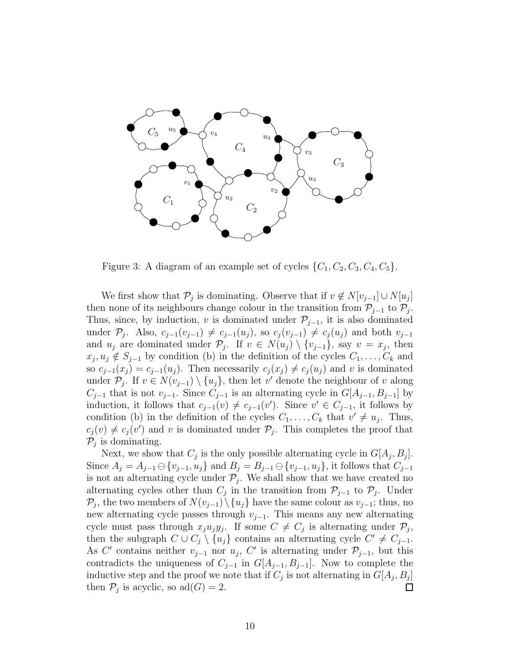

Figure 3: A diagram of an example set of cycles  $\{C_1, C_2, C_3, C_4, C_5\}$ .

We first show that  $\mathcal{P}_j$  is dominating. Observe that if  $v \notin N[v_{j-1}] \cup N[u_j]$ then none of its neighbours change colour in the transition from  $\mathcal{P}_{j-1}$  to  $\mathcal{P}_j$ . Thus, since, by induction, v is dominated under  $\mathcal{P}_{j-1}$ , it is also dominated under  $\mathcal{P}_j$ . Also,  $c_{j-1}(v_{j-1}) \neq c_{j-1}(u_j)$ , so  $c_j(v_{j-1}) \neq c_j(u_j)$  and both  $v_{j-1}$ and  $u_j$  are dominated under  $\mathcal{P}_j$ . If  $v \in N(u_j) \setminus \{v_{j-1}\}\$ , say  $v = x_j$ , then  $x_j, u_j \notin S_{j-1}$  by condition (b) in the definition of the cycles  $C_1, \ldots, C_k$  and so  $c_{j-1}(x_j) = c_{j-1}(u_j)$ . Then necessarily  $c_j(x_j) \neq c_j(u_j)$  and v is dominated under  $\mathcal{P}_j$ . If  $v \in N(v_{j-1}) \setminus \{u_j\}$ , then let v' denote the neighbour of v along  $C_{j-1}$  that is not  $v_{j-1}$ . Since  $C_{j-1}$  is an alternating cycle in  $G[A_{j-1}, B_{j-1}]$  by induction, it follows that  $c_{j-1}(v) \neq c_{j-1}(v')$ . Since  $v' \in C_{j-1}$ , it follows by condition (b) in the definition of the cycles  $C_1, \ldots, C_k$  that  $v' \neq u_j$ . Thus,  $c_j(v) \neq c_j(v')$  and v is dominated under  $\mathcal{P}_j$ . This completes the proof that  $P_j$  is dominating.

Next, we show that  $C_j$  is the only possible alternating cycle in  $G[A_j, B_j]$ . Since  $A_j = A_{j-1} \ominus \{v_{j-1}, u_j\}$  and  $B_j = B_{j-1} \ominus \{v_{j-1}, u_j\}$ , it follows that  $C_{j-1}$ is not an alternating cycle under  $P_j$ . We shall show that we have created no alternating cycles other than  $C_j$  in the transition from  $\mathcal{P}_{j-1}$  to  $\mathcal{P}_j$ . Under  $\mathcal{P}_j$ , the two members of  $N(v_{j-1}) \setminus \{u_j\}$  have the same colour as  $v_{j-1}$ ; thus, no new alternating cycle passes through  $v_{j-1}$ . This means any new alternating cycle must pass through  $x_j u_j y_j$ . If some  $C \neq C_j$  is alternating under  $\mathcal{P}_j$ , then the subgraph  $C \cup C_j \setminus \{u_j\}$  contains an alternating cycle  $C' \neq C_{j-1}$ . As C' contains neither  $v_{j-1}$  nor  $u_j$ , C' is alternating under  $\mathcal{P}_{j-1}$ , but this contradicts the uniqueness of  $C_{j-1}$  in  $G[A_{j-1}, B_{j-1}]$ . Now to complete the inductive step and the proof we note that if  $C_j$  is not alternating in  $G[A_j, B_j]$ then  $\mathcal{P}_j$  is acyclic, so  $\text{ad}(G) = 2$ .  $\Box$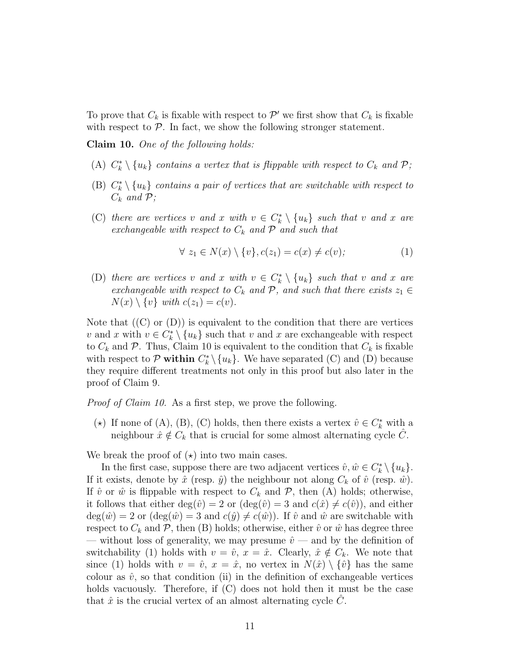To prove that  $C_k$  is fixable with respect to  $\mathcal{P}'$  we first show that  $C_k$  is fixable with respect to  $P$ . In fact, we show the following stronger statement.

Claim 10. *One of the following holds:*

- (A)  $C_k^* \setminus \{u_k\}$  *contains a vertex that is flippable with respect to*  $C_k$  *and*  $\mathcal{P}$ *;*
- (B)  $C_k^* \setminus \{u_k\}$  *contains a pair of vertices that are switchable with respect to*  $C_k$  *and*  $\mathcal{P}$ *;*
- (C) there are vertices v and x with  $v \in C_k^* \setminus \{u_k\}$  such that v and x are *exchangeable with respect to*  $C_k$  *and*  $\mathcal{P}$  *and such that*

$$
\forall z_1 \in N(x) \setminus \{v\}, c(z_1) = c(x) \neq c(v); \tag{1}
$$

(D) there are vertices v and x with  $v \in C_k^* \setminus \{u_k\}$  such that v and x are *exchangeable with respect to*  $C_k$  *and*  $\mathcal{P}$ *, and such that there exists*  $z_1 \in$  $N(x) \setminus \{v\}$  *with*  $c(z_1) = c(v)$ .

Note that  $(C)$  or  $(D)$  is equivalent to the condition that there are vertices v and x with  $v \in C^*_k \setminus \{u_k\}$  such that v and x are exchangeable with respect to  $C_k$  and  $\mathcal P$ . Thus, Claim 10 is equivalent to the condition that  $C_k$  is fixable with respect to  $\mathcal P$  within  $C_k^* \setminus \{u_k\}$ . We have separated (C) and (D) because they require different treatments not only in this proof but also later in the proof of Claim 9.

*Proof of Claim 10.* As a first step, we prove the following.

(\*) If none of (A), (B), (C) holds, then there exists a vertex  $\hat{v} \in C_k^*$  with a neighbour  $\hat{x} \notin C_k$  that is crucial for some almost alternating cycle C.

We break the proof of  $(\star)$  into two main cases.

In the first case, suppose there are two adjacent vertices  $\hat{v}, \hat{w} \in C^*_k \setminus \{u_k\}.$ If it exists, denote by  $\hat{x}$  (resp.  $\hat{y}$ ) the neighbour not along  $C_k$  of  $\hat{v}$  (resp.  $\hat{w}$ ). If  $\hat{v}$  or  $\hat{w}$  is flippable with respect to  $C_k$  and  $\mathcal{P}$ , then (A) holds; otherwise, it follows that either deg( $\hat{v}$ ) = 2 or (deg( $\hat{v}$ ) = 3 and  $c(\hat{x}) \neq c(\hat{v})$ ), and either  $deg(\hat{w}) = 2$  or  $deg(\hat{w}) = 3$  and  $c(\hat{y}) \neq c(\hat{w})$ . If  $\hat{v}$  and  $\hat{w}$  are switchable with respect to  $C_k$  and  $\mathcal P$ , then (B) holds; otherwise, either  $\hat v$  or  $\hat w$  has degree three — without loss of generality, we may presume  $\hat{v}$  — and by the definition of switchability (1) holds with  $v = \hat{v}$ ,  $x = \hat{x}$ . Clearly,  $\hat{x} \notin C_k$ . We note that since (1) holds with  $v = \hat{v}$ ,  $x = \hat{x}$ , no vertex in  $N(\hat{x}) \setminus {\hat{v}}$  has the same colour as  $\hat{v}$ , so that condition (ii) in the definition of exchangeable vertices holds vacuously. Therefore, if (C) does not hold then it must be the case that  $\hat{x}$  is the crucial vertex of an almost alternating cycle C.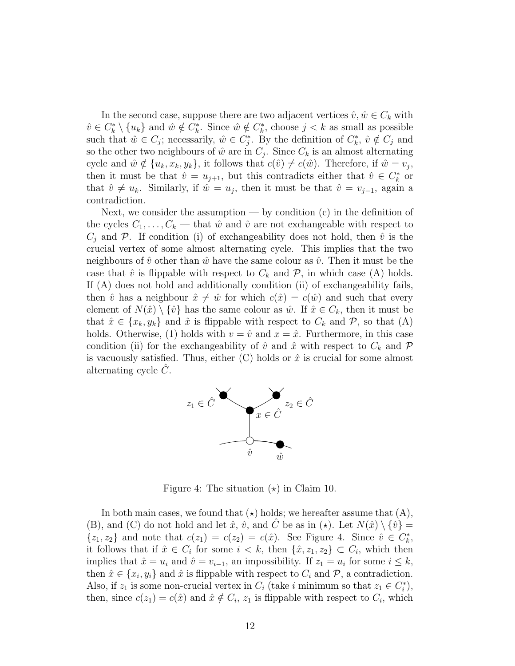In the second case, suppose there are two adjacent vertices  $\hat{v}, \hat{w} \in C_k$  with  $\hat{v} \in C_k^* \setminus \{u_k\}$  and  $\hat{w} \notin C_k^*$ . Since  $\hat{w} \notin C_k^*$ , choose  $j < k$  as small as possible such that  $\hat{w} \in C_j$ ; necessarily,  $\hat{w} \in C_j^*$ . By the definition of  $C_k^*$ ,  $\hat{v} \notin C_j$  and so the other two neighbours of  $\hat{w}$  are in  $C_j$ . Since  $C_k$  is an almost alternating cycle and  $\hat{w} \notin \{u_k, x_k, y_k\}$ , it follows that  $c(\hat{v}) \neq c(\hat{w})$ . Therefore, if  $\hat{w} = v_j$ , then it must be that  $\hat{v} = u_{j+1}$ , but this contradicts either that  $\hat{v} \in C_k^*$  or that  $\hat{v} \neq u_k$ . Similarly, if  $\hat{w} = u_j$ , then it must be that  $\hat{v} = v_{j-1}$ , again a contradiction.

Next, we consider the assumption  $-$  by condition (c) in the definition of the cycles  $C_1, \ldots, C_k$  — that  $\hat{w}$  and  $\hat{v}$  are not exchangeable with respect to  $C_j$  and P. If condition (i) of exchangeability does not hold, then  $\hat{v}$  is the crucial vertex of some almost alternating cycle. This implies that the two neighbours of  $\hat{v}$  other than  $\hat{w}$  have the same colour as  $\hat{v}$ . Then it must be the case that  $\hat{v}$  is flippable with respect to  $C_k$  and  $\mathcal{P}$ , in which case (A) holds. If (A) does not hold and additionally condition (ii) of exchangeability fails, then  $\hat{v}$  has a neighbour  $\hat{x} \neq \hat{w}$  for which  $c(\hat{x}) = c(\hat{w})$  and such that every element of  $N(\hat{x}) \setminus {\hat{v}}$  has the same colour as  $\hat{w}$ . If  $\hat{x} \in C_k$ , then it must be that  $\hat{x} \in \{x_k, y_k\}$  and  $\hat{x}$  is flippable with respect to  $C_k$  and  $\mathcal{P}$ , so that (A) holds. Otherwise, (1) holds with  $v = \hat{v}$  and  $x = \hat{x}$ . Furthermore, in this case condition (ii) for the exchangeability of  $\hat{v}$  and  $\hat{x}$  with respect to  $C_k$  and  $\mathcal{P}$ is vacuously satisfied. Thus, either  $(C)$  holds or  $\hat{x}$  is crucial for some almost alternating cycle  $C$ .



Figure 4: The situation  $(\star)$  in Claim 10.

In both main cases, we found that  $(\star)$  holds; we hereafter assume that  $(A)$ , (B), and (C) do not hold and let  $\hat{x}$ ,  $\hat{v}$ , and C be as in  $(\star)$ . Let  $N(\hat{x}) \setminus {\hat{v}}$  =  $\{z_1, z_2\}$  and note that  $c(z_1) = c(z_2) = c(\hat{x})$ . See Figure 4. Since  $\hat{v} \in C_k^*$ , it follows that if  $\hat{x} \in C_i$  for some  $i \leq k$ , then  $\{\hat{x}, z_1, z_2\} \subset C_i$ , which then implies that  $\hat{x} = u_i$  and  $\hat{v} = v_{i-1}$ , an impossibility. If  $z_1 = u_i$  for some  $i \leq k$ , then  $\hat{x} \in \{x_i, y_i\}$  and  $\hat{x}$  is flippable with respect to  $C_i$  and  $\mathcal{P}$ , a contradiction. Also, if  $z_1$  is some non-crucial vertex in  $C_i$  (take i minimum so that  $z_1 \in C_i^*$ ), then, since  $c(z_1) = c(\hat{x})$  and  $\hat{x} \notin C_i$ ,  $z_1$  is flippable with respect to  $C_i$ , which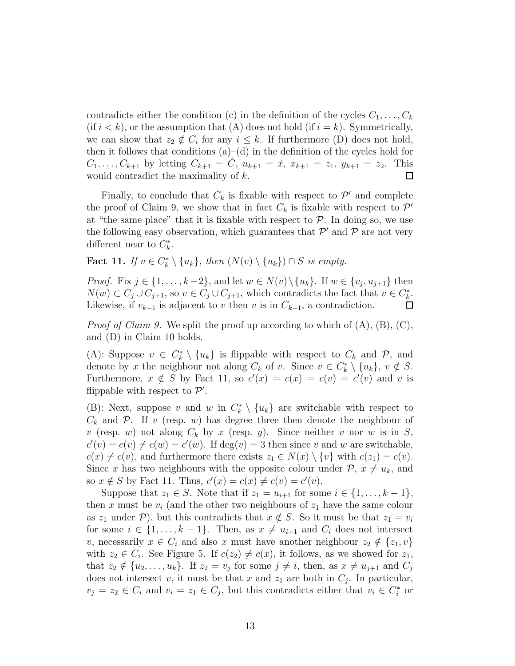contradicts either the condition (c) in the definition of the cycles  $C_1, \ldots, C_k$  $(i \in k)$ , or the assumption that  $(A)$  does not hold  $(i \in k)$ . Symmetrically, we can show that  $z_2 \notin C_i$  for any  $i \leq k$ . If furthermore (D) does not hold, then it follows that conditions  $(a)$ – $(d)$  in the definition of the cycles hold for  $C_1, \ldots, C_{k+1}$  by letting  $C_{k+1} = \hat{C}$ ,  $u_{k+1} = \hat{x}$ ,  $x_{k+1} = z_1$ ,  $y_{k+1} = z_2$ . This would contradict the maximality of  $k$ .  $\Box$ 

Finally, to conclude that  $C_k$  is fixable with respect to  $\mathcal{P}'$  and complete the proof of Claim 9, we show that in fact  $C_k$  is fixable with respect to  $\mathcal{P}'$ at "the same place" that it is fixable with respect to  $P$ . In doing so, we use the following easy observation, which guarantees that  $\mathcal{P}'$  and  $\mathcal{P}$  are not very different near to  $C_k^*$ .

Fact 11. *If*  $v \in C_k^* \setminus \{u_k\}$ , then  $(N(v) \setminus \{u_k\}) \cap S$  is empty.

*Proof.* Fix  $j \in \{1, \ldots, k-2\}$ , and let  $w \in N(v) \setminus \{u_k\}$ . If  $w \in \{v_j, u_{j+1}\}$  then  $N(w) \subset C_j \cup C_{j+1}$ , so  $v \in C_j \cup C_{j+1}$ , which contradicts the fact that  $v \in C_k^*$ . Likewise, if  $v_{k-1}$  is adjacent to v then v is in  $C_{k-1}$ , a contradiction.  $\Box$ 

*Proof of Claim 9.* We split the proof up according to which of  $(A)$ ,  $(B)$ ,  $(C)$ , and (D) in Claim 10 holds.

(A): Suppose  $v \in C_k^* \setminus \{u_k\}$  is flippable with respect to  $C_k$  and  $\mathcal{P}$ , and denote by x the neighbour not along  $C_k$  of v. Since  $v \in C_k^* \setminus \{u_k\}, v \notin S$ . Furthermore,  $x \notin S$  by Fact 11, so  $c'(x) = c(x) = c(v) = c'(v)$  and v is flippable with respect to  $\mathcal{P}'$ .

(B): Next, suppose v and w in  $C_k^* \setminus \{u_k\}$  are switchable with respect to  $C_k$  and P. If v (resp. w) has degree three then denote the neighbour of v (resp. w) not along  $C_k$  by x (resp. y). Since neither v nor w is in S,  $c'(v) = c(v) \neq c(w) = c'(w)$ . If deg(v) = 3 then since v and w are switchable,  $c(x) \neq c(v)$ , and furthermore there exists  $z_1 \in N(x) \setminus \{v\}$  with  $c(z_1) = c(v)$ . Since x has two neighbours with the opposite colour under  $P, x \neq u_k$ , and so  $x \notin S$  by Fact 11. Thus,  $c'(x) = c(x) \neq c(v) = c'(v)$ .

Suppose that  $z_1 \in S$ . Note that if  $z_1 = u_{i+1}$  for some  $i \in \{1, \ldots, k-1\}$ , then x must be  $v_i$  (and the other two neighbours of  $z_1$  have the same colour as  $z_1$  under P), but this contradicts that  $x \notin S$ . So it must be that  $z_1 = v_i$ for some  $i \in \{1, \ldots, k-1\}$ . Then, as  $x \neq u_{i+1}$  and  $C_i$  does not intersect v, necessarily  $x \in C_i$  and also x must have another neighbour  $z_2 \notin \{z_1, v\}$ with  $z_2 \in C_i$ . See Figure 5. If  $c(z_2) \neq c(x)$ , it follows, as we showed for  $z_1$ , that  $z_2 \notin \{u_2, \ldots, u_k\}$ . If  $z_2 = v_j$  for some  $j \neq i$ , then, as  $x \neq u_{j+1}$  and  $C_j$ does not intersect v, it must be that x and  $z_1$  are both in  $C_j$ . In particular,  $v_j = z_2 \in C_i$  and  $v_i = z_1 \in C_j$ , but this contradicts either that  $v_i \in C_i^*$  or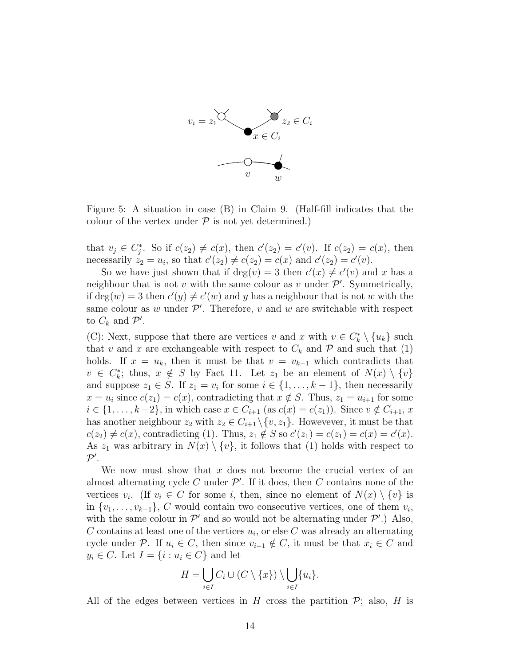

Figure 5: A situation in case (B) in Claim 9. (Half-fill indicates that the colour of the vertex under  $P$  is not yet determined.)

that  $v_j \in C_j^*$ . So if  $c(z_2) \neq c(x)$ , then  $c'(z_2) = c'(v)$ . If  $c(z_2) = c(x)$ , then necessarily  $z_2 = u_i$ , so that  $c'(z_2) \neq c(z_2) = c(x)$  and  $c'(z_2) = c'(v)$ .

So we have just shown that if  $deg(v) = 3$  then  $c'(x) \neq c'(v)$  and x has a neighbour that is not v with the same colour as v under  $\mathcal{P}'$ . Symmetrically, if  $deg(w) = 3$  then  $c'(y) \neq c'(w)$  and y has a neighbour that is not w with the same colour as w under  $\mathcal{P}'$ . Therefore, v and w are switchable with respect to  $C_k$  and  $\mathcal{P}'$ .

(C): Next, suppose that there are vertices v and x with  $v \in C_k^* \setminus \{u_k\}$  such that v and x are exchangeable with respect to  $C_k$  and  $\mathcal P$  and such that (1) holds. If  $x = u_k$ , then it must be that  $v = v_{k-1}$  which contradicts that  $v \in C_k^*$ ; thus,  $x \notin S$  by Fact 11. Let  $z_1$  be an element of  $N(x) \setminus \{v\}$ and suppose  $z_1 \in S$ . If  $z_1 = v_i$  for some  $i \in \{1, ..., k-1\}$ , then necessarily  $x = u_i$  since  $c(z_1) = c(x)$ , contradicting that  $x \notin S$ . Thus,  $z_1 = u_{i+1}$  for some  $i \in \{1, ..., k-2\}$ , in which case  $x \in C_{i+1}$  (as  $c(x) = c(z_1)$ ). Since  $v \notin C_{i+1}, x$ has another neighbour  $z_2$  with  $z_2 \in C_{i+1} \setminus \{v, z_1\}$ . Howevever, it must be that  $c(z_2) \neq c(x)$ , contradicting (1). Thus,  $z_1 \notin S$  so  $c'(z_1) = c(z_1) = c(x) = c'(x)$ . As  $z_1$  was arbitrary in  $N(x) \setminus \{v\}$ , it follows that (1) holds with respect to  $\mathcal{P}^\prime$  .

We now must show that  $x$  does not become the crucial vertex of an almost alternating cycle  $C$  under  $\mathcal{P}'$ . If it does, then  $C$  contains none of the vertices  $v_i$ . (If  $v_i \in C$  for some i, then, since no element of  $N(x) \setminus \{v\}$  is in  $\{v_1, \ldots, v_{k-1}\}, C$  would contain two consecutive vertices, one of them  $v_i$ , with the same colour in  $\mathcal{P}'$  and so would not be alternating under  $\mathcal{P}'$ .) Also,  $C$  contains at least one of the vertices  $u_i$ , or else  $C$  was already an alternating cycle under P. If  $u_i \in C$ , then since  $v_{i-1} \notin C$ , it must be that  $x_i \in C$  and  $y_i \in C$ . Let  $I = \{i : u_i \in C\}$  and let

$$
H = \bigcup_{i \in I} C_i \cup (C \setminus \{x\}) \setminus \bigcup_{i \in I} \{u_i\}.
$$

All of the edges between vertices in H cross the partition  $\mathcal{P}$ ; also, H is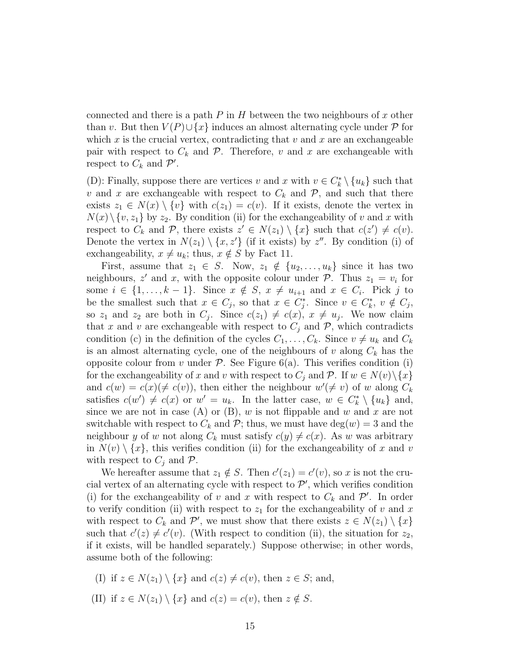connected and there is a path  $P$  in  $H$  between the two neighbours of  $x$  other than v. But then  $V(P) \cup \{x\}$  induces an almost alternating cycle under P for which x is the crucial vertex, contradicting that  $v$  and  $x$  are an exchangeable pair with respect to  $C_k$  and  $\mathcal P$ . Therefore, v and x are exchangeable with respect to  $C_k$  and  $\mathcal{P}'$ .

(D): Finally, suppose there are vertices v and x with  $v \in C_k^* \setminus \{u_k\}$  such that v and x are exchangeable with respect to  $C_k$  and  $\mathcal{P}$ , and such that there exists  $z_1 \in N(x) \setminus \{v\}$  with  $c(z_1) = c(v)$ . If it exists, denote the vertex in  $N(x)\setminus\{v, z_1\}$  by  $z_2$ . By condition (ii) for the exchangeability of v and x with respect to  $C_k$  and  $\mathcal{P}$ , there exists  $z' \in N(z_1) \setminus \{x\}$  such that  $c(z') \neq c(v)$ . Denote the vertex in  $N(z_1) \setminus \{x, z'\}$  (if it exists) by  $z''$ . By condition (i) of exchangeability,  $x \neq u_k$ ; thus,  $x \notin S$  by Fact 11.

First, assume that  $z_1 \in S$ . Now,  $z_1 \notin \{u_2, \ldots, u_k\}$  since it has two neighbours, z' and x, with the opposite colour under  $P$ . Thus  $z_1 = v_i$  for some  $i \in \{1, \ldots, k-1\}$ . Since  $x \notin S$ ,  $x \neq u_{i+1}$  and  $x \in C_i$ . Pick j to be the smallest such that  $x \in C_j$ , so that  $x \in C_j^*$ . Since  $v \in C_k^*$ ,  $v \notin C_j$ , so  $z_1$  and  $z_2$  are both in  $C_j$ . Since  $c(z_1) \neq c(x)$ ,  $x \neq u_j$ . We now claim that x and v are exchangeable with respect to  $C_j$  and  $\mathcal{P}$ , which contradicts condition (c) in the definition of the cycles  $C_1, \ldots, C_k$ . Since  $v \neq u_k$  and  $C_k$ is an almost alternating cycle, one of the neighbours of v along  $C_k$  has the opposite colour from v under  $P$ . See Figure 6(a). This verifies condition (i) for the exchangeability of x and v with respect to  $C_i$  and P. If  $w \in N(v) \setminus \{x\}$ and  $c(w) = c(x) (\neq c(v))$ , then either the neighbour  $w'(\neq v)$  of w along  $C_k$ satisfies  $c(w') \neq c(x)$  or  $w' = u_k$ . In the latter case,  $w \in C_k^* \setminus \{u_k\}$  and, since we are not in case (A) or (B), w is not flippable and w and x are not switchable with respect to  $C_k$  and  $\mathcal{P}$ ; thus, we must have  $\deg(w) = 3$  and the neighbour y of w not along  $C_k$  must satisfy  $c(y) \neq c(x)$ . As w was arbitrary in  $N(v) \setminus \{x\}$ , this verifies condition (ii) for the exchangeability of x and v with respect to  $C_j$  and  $\mathcal{P}$ .

We hereafter assume that  $z_1 \notin S$ . Then  $c'(z_1) = c'(v)$ , so x is not the crucial vertex of an alternating cycle with respect to  $\mathcal{P}'$ , which verifies condition (i) for the exchangeability of v and x with respect to  $C_k$  and  $\mathcal{P}'$ . In order to verify condition (ii) with respect to  $z_1$  for the exchangeability of v and x with respect to  $C_k$  and  $\mathcal{P}'$ , we must show that there exists  $z \in N(z_1) \setminus \{x\}$ such that  $c'(z) \neq c'(v)$ . (With respect to condition (ii), the situation for  $z_2$ , if it exists, will be handled separately.) Suppose otherwise; in other words, assume both of the following:

(I) if  $z \in N(z_1) \setminus \{x\}$  and  $c(z) \neq c(v)$ , then  $z \in S$ ; and, (II) if  $z \in N(z_1) \setminus \{x\}$  and  $c(z) = c(v)$ , then  $z \notin S$ .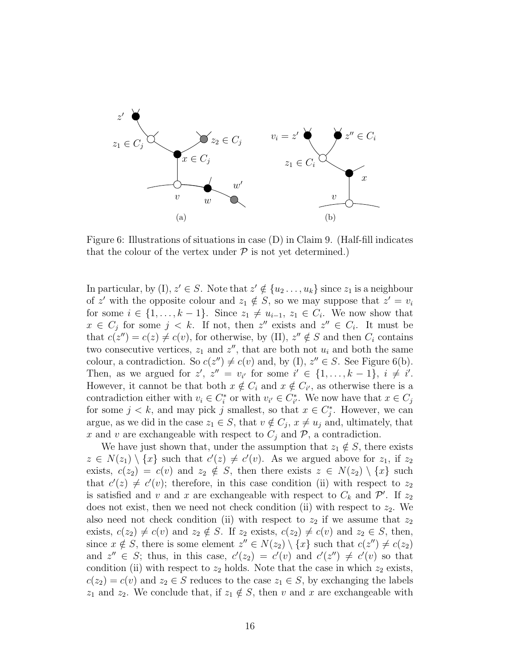

Figure 6: Illustrations of situations in case (D) in Claim 9. (Half-fill indicates that the colour of the vertex under  $P$  is not yet determined.)

In particular, by (I),  $z' \in S$ . Note that  $z' \notin \{u_2, \ldots, u_k\}$  since  $z_1$  is a neighbour of z' with the opposite colour and  $z_1 \notin S$ , so we may suppose that  $z' = v_i$ for some  $i \in \{1, \ldots, k-1\}$ . Since  $z_1 \neq u_{i-1}, z_1 \in C_i$ . We now show that  $x \in C_j$  for some  $j < k$ . If not, then  $z''$  exists and  $z'' \in C_i$ . It must be that  $c(z'') = c(z) \neq c(v)$ , for otherwise, by (II),  $z'' \notin S$  and then  $C_i$  contains two consecutive vertices,  $z_1$  and  $z''$ , that are both not  $u_i$  and both the same colour, a contradiction. So  $c(z'') \neq c(v)$  and, by (I),  $z'' \in S$ . See Figure 6(b). Then, as we argued for  $z'$ ,  $z'' = v_{i'}$  for some  $i' \in \{1, ..., k-1\}$ ,  $i \neq i'$ . However, it cannot be that both  $x \notin C_i$  and  $x \notin C_{i'}$ , as otherwise there is a contradiction either with  $v_i \in C_i^*$  or with  $v_{i'} \in C_{i'}^*$ . We now have that  $x \in C_j$ for some  $j < k$ , and may pick j smallest, so that  $x \in C_j^*$ . However, we can argue, as we did in the case  $z_1 \in S$ , that  $v \notin C_j$ ,  $x \neq u_j$  and, ultimately, that x and v are exchangeable with respect to  $C_i$  and  $\mathcal{P}$ , a contradiction.

We have just shown that, under the assumption that  $z_1 \notin S$ , there exists  $z \in N(z_1) \setminus \{x\}$  such that  $c'(z) \neq c'(v)$ . As we argued above for  $z_1$ , if  $z_2$ exists,  $c(z_2) = c(v)$  and  $z_2 \notin S$ , then there exists  $z \in N(z_2) \setminus \{x\}$  such that  $c'(z) \neq c'(v)$ ; therefore, in this case condition (ii) with respect to  $z_2$ is satisfied and v and x are exchangeable with respect to  $C_k$  and  $\mathcal{P}'$ . If  $z_2$ does not exist, then we need not check condition (ii) with respect to  $z_2$ . We also need not check condition (ii) with respect to  $z_2$  if we assume that  $z_2$ exists,  $c(z_2) \neq c(v)$  and  $z_2 \notin S$ . If  $z_2$  exists,  $c(z_2) \neq c(v)$  and  $z_2 \in S$ , then, since  $x \notin S$ , there is some element  $z'' \in N(z_2) \setminus \{x\}$  such that  $c(z'') \neq c(z_2)$ and  $z'' \in S$ ; thus, in this case,  $c'(z_2) = c'(v)$  and  $c'(z'') \neq c'(v)$  so that condition (ii) with respect to  $z_2$  holds. Note that the case in which  $z_2$  exists,  $c(z_2) = c(v)$  and  $z_2 \in S$  reduces to the case  $z_1 \in S$ , by exchanging the labels  $z_1$  and  $z_2$ . We conclude that, if  $z_1 \notin S$ , then v and x are exchangeable with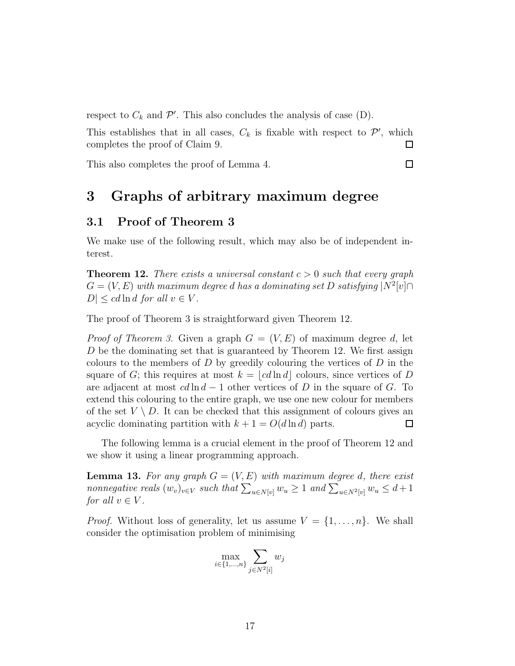respect to  $C_k$  and  $\mathcal{P}'$ . This also concludes the analysis of case (D).

This establishes that in all cases,  $C_k$  is fixable with respect to  $\mathcal{P}'$ , which completes the proof of Claim 9.  $\Box$ 

 $\Box$ 

This also completes the proof of Lemma 4.

### 3 Graphs of arbitrary maximum degree

#### 3.1 Proof of Theorem 3

We make use of the following result, which may also be of independent interest.

Theorem 12. *There exists a universal constant* c > 0 *such that every graph*  $G = (V, E)$  with maximum degree d has a dominating set D satisfying  $N^2[v] \cap$  $|D| \leq c d \ln d$  *for all*  $v \in V$ *.* 

The proof of Theorem 3 is straightforward given Theorem 12.

*Proof of Theorem 3.* Given a graph  $G = (V, E)$  of maximum degree d, let  $D$  be the dominating set that is guaranteed by Theorem 12. We first assign colours to the members of  $D$  by greedily colouring the vertices of  $D$  in the square of G; this requires at most  $k = |cd| \text{d} u|$  colours, since vertices of D are adjacent at most  $cd \ln d - 1$  other vertices of D in the square of G. To extend this colouring to the entire graph, we use one new colour for members of the set  $V \setminus D$ . It can be checked that this assignment of colours gives an acyclic dominating partition with  $k + 1 = O(d \ln d)$  parts.  $\Box$ 

The following lemma is a crucial element in the proof of Theorem 12 and we show it using a linear programming approach.

**Lemma 13.** For any graph  $G = (V, E)$  with maximum degree d, there exist *nonnegative reals*  $(w_v)_{v \in V}$  *such that*  $\sum_{u \in N[v]} w_u \ge 1$  *and*  $\sum_{u \in N^2[v]} w_u \le d+1$ *for all*  $v \in V$ *.* 

*Proof.* Without loss of generality, let us assume  $V = \{1, \ldots, n\}$ . We shall consider the optimisation problem of minimising

$$
\max_{i \in \{1,\dots,n\}} \sum_{j \in N^2[i]} w_j
$$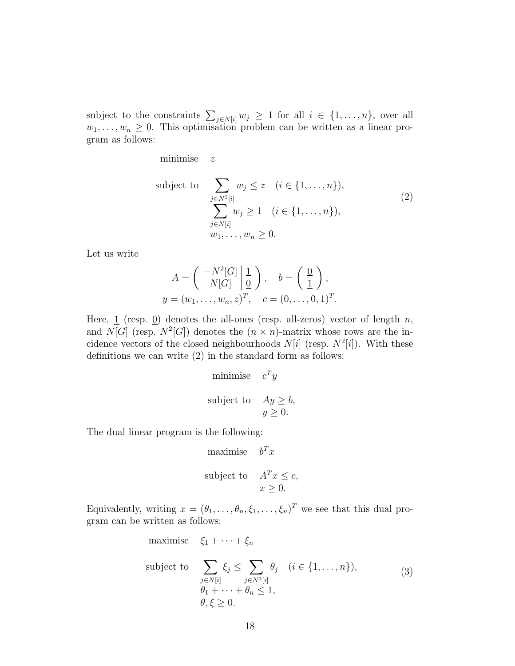subject to the constraints  $\sum_{j \in N[i]} w_j \geq 1$  for all  $i \in \{1, ..., n\}$ , over all  $w_1, \ldots, w_n \geq 0$ . This optimisation problem can be written as a linear program as follows:

minimise z

subject to 
$$
\sum_{j \in N^{2}[i]} w_j \leq z \quad (i \in \{1, ..., n\}),
$$

$$
\sum_{j \in N[i]} w_j \geq 1 \quad (i \in \{1, ..., n\}),
$$

$$
w_1, ..., w_n \geq 0.
$$
 (2)

Let us write

$$
A = \begin{pmatrix} -N^2[G] \mid \frac{1}{0} \\ N[G] \mid \frac{1}{0} \end{pmatrix}, \quad b = \begin{pmatrix} \frac{0}{1} \\ \frac{1}{1} \end{pmatrix},
$$
  

$$
y = (w_1, \dots, w_n, z)^T, \quad c = (0, \dots, 0, 1)^T.
$$

Here,  $\underline{1}$  (resp.  $\underline{0}$ ) denotes the all-ones (resp. all-zeros) vector of length n, and  $N[G]$  (resp.  $N^2[G]$ ) denotes the  $(n \times n)$ -matrix whose rows are the incidence vectors of the closed neighbourhoods  $N[i]$  (resp.  $N^2[i]$ ). With these definitions we can write (2) in the standard form as follows:

minimise 
$$
c^T y
$$
  
subject to  $Ay \ge b$ ,  
 $y \ge 0$ .

The dual linear program is the following:

maximise 
$$
b^T x
$$
  
subject to  $A^T x \leq c$ ,  
 $x \geq 0$ .

Equivalently, writing  $x = (\theta_1, \ldots, \theta_n, \xi_1, \ldots, \xi_n)^T$  we see that this dual program can be written as follows:

maximise 
$$
\xi_1 + \dots + \xi_n
$$
  
\nsubject to 
$$
\sum_{j \in N[i]} \xi_j \leq \sum_{j \in N^2[i]} \theta_j \quad (i \in \{1, ..., n\}),
$$

$$
\theta_1 + \dots + \theta_n \leq 1,
$$

$$
\theta, \xi \geq 0.
$$

$$
(3)
$$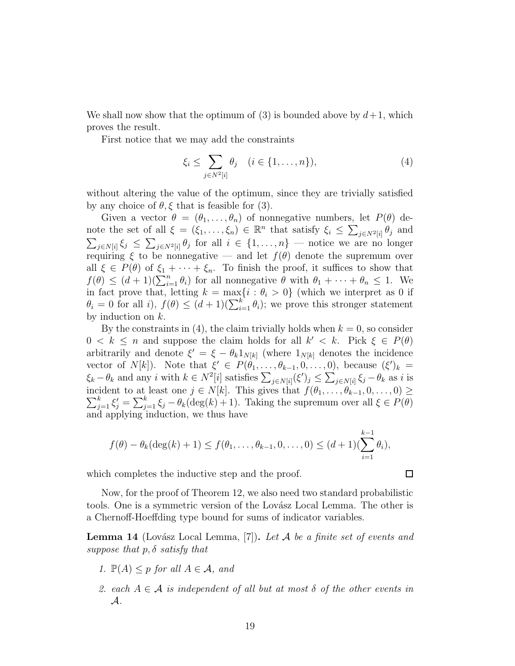We shall now show that the optimum of (3) is bounded above by  $d+1$ , which proves the result.

First notice that we may add the constraints

$$
\xi_i \le \sum_{j \in N^2[i]} \theta_j \quad (i \in \{1, ..., n\}),
$$
\n(4)

without altering the value of the optimum, since they are trivially satisfied by any choice of  $\theta$ ,  $\xi$  that is feasible for (3).

Given a vector  $\theta = (\theta_1, \ldots, \theta_n)$  of nonnegative numbers, let  $P(\theta)$  denote the set of all  $\xi = (\xi_1, \ldots, \xi_n) \in \mathbb{R}^n$  that satisfy  $\xi_i \leq \sum_{j \in N^2[i]} \theta_j$  and  $\sum_{j \in N[i]} \xi_j \leq \sum_{j \in N^2[i]} \theta_j$  for all  $i \in \{1, \ldots, n\}$  — notice we are no longer requiring  $\xi$  to be nonnegative — and let  $f(\theta)$  denote the supremum over all  $\xi \in P(\theta)$  of  $\xi_1 + \cdots + \xi_n$ . To finish the proof, it suffices to show that  $f(\theta) \leq (d+1)(\sum_{i=1}^n \theta_i)$  for all nonnegative  $\theta$  with  $\theta_1 + \cdots + \theta_n \leq 1$ . We in fact prove that, letting  $k = \max\{i : \theta_i > 0\}$  (which we interpret as 0 if  $\theta_i = 0$  for all i),  $f(\theta) \leq (d+1)(\sum_{i=1}^k \theta_i)$ ; we prove this stronger statement by induction on  $k$ .

By the constraints in (4), the claim trivially holds when  $k = 0$ , so consider  $0 < k \leq n$  and suppose the claim holds for all  $k' < k$ . Pick  $\xi \in P(\theta)$ arbitrarily and denote  $\xi' = \xi - \theta_k \mathbb{1}_{N[k]}$  (where  $\mathbb{1}_{N[k]}$  denotes the incidence vector of  $N[k]$ ). Note that  $\xi' \in P(\theta_1, \ldots, \theta_{k-1}, 0, \ldots, 0)$ , because  $(\xi')_k =$  $\xi_k - \theta_k$  and any i with  $k \in N^2[i]$  satisfies  $\sum_{j \in N[i]} (\xi')_j \leq \sum_{j \in N[i]} \xi_j - \theta_k$  as i is incident to at least one  $j \in N[k]$ . This gives that  $f(\theta_1, \ldots, \theta_{k-1}, 0, \ldots, 0) \ge$  $\sum_{j=1}^k \xi'_j = \sum_{j=1}^k \xi_j - \theta_k(\deg(k) + 1)$ . Taking the supremum over all  $\xi \in P(\theta)$ and applying induction, we thus have

$$
f(\theta) - \theta_k(\deg(k) + 1) \le f(\theta_1, ..., \theta_{k-1}, 0, ..., 0) \le (d+1)(\sum_{i=1}^{k-1} \theta_i),
$$

 $\Box$ 

which completes the inductive step and the proof.

Now, for the proof of Theorem 12, we also need two standard probabilistic tools. One is a symmetric version of the Lovász Local Lemma. The other is a Chernoff-Hoeffding type bound for sums of indicator variables.

**Lemma 14** (Lovász Local Lemma, [7]). Let A be a finite set of events and *suppose that* p, δ *satisfy that*

- *1.*  $\mathbb{P}(A) \leq p$  *for all*  $A \in \mathcal{A}$ *, and*
- *2. each* A ∈ A *is independent of all but at most* δ *of the other events in* A*.*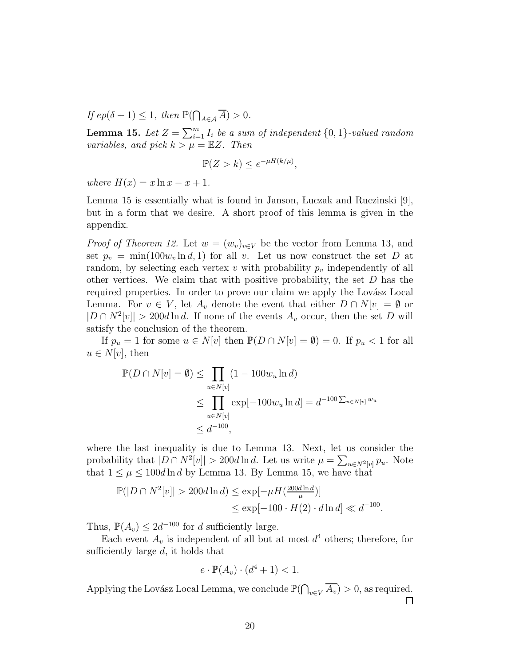$If ep(\delta + 1) \leq 1, then \mathbb{P}(\bigcap_{A \in \mathcal{A}} \overline{A}) > 0.$ 

**Lemma 15.** Let  $Z = \sum_{i=1}^{m} I_i$  be a sum of independent  $\{0, 1\}$ -valued random *variables, and pick*  $k > \mu = \mathbb{E}Z$ . Then

$$
\mathbb{P}(Z > k) \le e^{-\mu H(k/\mu)},
$$

*where*  $H(x) = x \ln x - x + 1$ .

Lemma 15 is essentially what is found in Janson, Luczak and Ruczinski [9], but in a form that we desire. A short proof of this lemma is given in the appendix.

*Proof of Theorem 12.* Let  $w = (w_v)_{v \in V}$  be the vector from Lemma 13, and set  $p_v = \min(100w_v \ln d, 1)$  for all v. Let us now construct the set D at random, by selecting each vertex v with probability  $p_v$  independently of all other vertices. We claim that with positive probability, the set  $D$  has the required properties. In order to prove our claim we apply the Lovász Local Lemma. For  $v \in V$ , let  $A_v$  denote the event that either  $D \cap N[v] = \emptyset$  or  $|D \cap N^2[v]| > 200d \ln d$ . If none of the events  $A_v$  occur, then the set D will satisfy the conclusion of the theorem.

If  $p_u = 1$  for some  $u \in N[v]$  then  $\mathbb{P}(D \cap N[v] = \emptyset) = 0$ . If  $p_u < 1$  for all  $u \in N[v]$ , then

$$
\mathbb{P}(D \cap N[v] = \emptyset) \le \prod_{u \in N[v]} (1 - 100w_u \ln d)
$$
  
\n
$$
\le \prod_{u \in N[v]} \exp[-100w_u \ln d] = d^{-100 \sum_{u \in N[v]} w_u}
$$
  
\n
$$
\le d^{-100},
$$

where the last inequality is due to Lemma 13. Next, let us consider the probability that  $|D \cap N^2[v]| > 200d \ln d$ . Let us write  $\mu = \sum_{u \in N^2[v]} p_u$ . Note that  $1 \leq \mu \leq 100d \ln d$  by Lemma 13. By Lemma 15, we have that

$$
\mathbb{P}(|D \cap N^2[v]| > 200d \ln d) \le \exp[-\mu H(\frac{200d \ln d}{\mu})] \le \exp[-100 \cdot H(2) \cdot d \ln d] \ll d^{-100}.
$$

Thus,  $\mathbb{P}(A_v) \leq 2d^{-100}$  for d sufficiently large.

Each event  $A_v$  is independent of all but at most  $d^4$  others; therefore, for sufficiently large  $d$ , it holds that

$$
e \cdot \mathbb{P}(A_v) \cdot (d^4 + 1) < 1.
$$

Applying the Lovász Local Lemma, we conclude  $\mathbb{P}(\bigcap_{v\in V} \overline{A_v}) > 0$ , as required.  $\Box$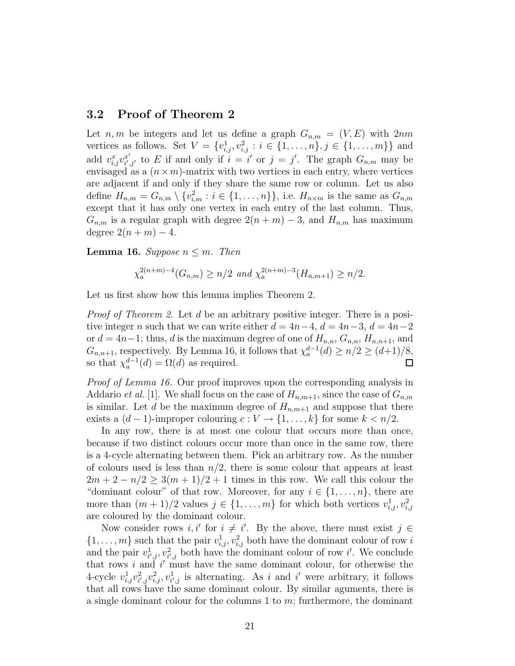#### 3.2 Proof of Theorem 2

Let n, m be integers and let us define a graph  $G_{n,m} = (V, E)$  with  $2nm$ vertices as follows. Set  $V = \{v_{i,j}^1, v_{i,j}^2 : i \in \{1, ..., n\}, j \in \{1, ..., m\}\}\$ and add  $v_{i,j}^x v_{i'}^{x'}$  $x'_{i',j'}$  to E if and only if  $i = i'$  or  $j = j'$ . The graph  $G_{n,m}$  may be envisaged as a  $(n \times m)$ -matrix with two vertices in each entry, where vertices are adjacent if and only if they share the same row or column. Let us also define  $H_{n,m} = G_{n,m} \setminus \{v_{i,m}^2 : i \in \{1, \ldots, n\}\}\)$ , i.e.  $H_{n \times m}$  is the same as  $G_{n,m}$ except that it has only one vertex in each entry of the last column. Thus,  $G_{n,m}$  is a regular graph with degree  $2(n + m) - 3$ , and  $H_{n,m}$  has maximum degree  $2(n+m) - 4$ .

**Lemma 16.** *Suppose*  $n \leq m$ *. Then* 

$$
\chi_a^{2(n+m)-4}(G_{n,m}) \ge n/2 \text{ and } \chi_a^{2(n+m)-3}(H_{n,m+1}) \ge n/2.
$$

Let us first show how this lemma implies Theorem 2.

*Proof of Theorem 2.* Let d be an arbitrary positive integer. There is a positive integer n such that we can write either  $d = 4n-4$ ,  $d = 4n-3$ ,  $d = 4n-2$ or  $d = 4n-1$ ; thus, d is the maximum degree of one of  $H_{n,n}$ ,  $G_{n,n}$ ,  $H_{n,n+1}$ , and  $G_{n,n+1}$ , respectively. By Lemma 16, it follows that  $\chi_a^{d-1}(d) \geq n/2 \geq (d+1)/8$ , so that  $\chi_a^{d-1}(d) = \Omega(d)$  as required.  $\Box$ 

*Proof of Lemma 16.* Our proof improves upon the corresponding analysis in Addario *et al.* [1]. We shall focus on the case of  $H_{n,m+1}$ , since the case of  $G_{n,m}$ is similar. Let d be the maximum degree of  $H_{n,m+1}$  and suppose that there exists a  $(d-1)$ -improper colouring  $c: V \to \{1, \ldots, k\}$  for some  $k < n/2$ .

In any row, there is at most one colour that occurs more than once, because if two distinct colours occur more than once in the same row, there is a 4-cycle alternating between them. Pick an arbitrary row. As the number of colours used is less than  $n/2$ , there is some colour that appears at least  $2m + 2 - n/2 \geq 3(m + 1)/2 + 1$  times in this row. We call this colour the "dominant colour" of that row. Moreover, for any  $i \in \{1, ..., n\}$ , there are more than  $(m+1)/2$  values  $j \in \{1, \ldots, m\}$  for which both vertices  $v_{i,j}^1, v_{i,j}^2$ are coloured by the dominant colour.

Now consider rows  $i, i'$  for  $i \neq i'$ . By the above, there must exist  $j \in$  $\{1,\ldots,m\}$  such that the pair  $v_{i,j}^1, v_{i,j}^2$  both have the dominant colour of row i and the pair  $v_{i',j}^1, v_{i',j}^2$  both have the dominant colour of row i'. We conclude that rows i and i' must have the same dominant colour, for otherwise the 4-cycle  $v_{i,j}^1 v_{i',j}^2 v_{i,j}^2$ ,  $v_{i',j}^1$  is alternating. As i and i' were arbitrary, it follows that all rows have the same dominant colour. By similar aguments, there is a single dominant colour for the columns 1 to  $m$ ; furthermore, the dominant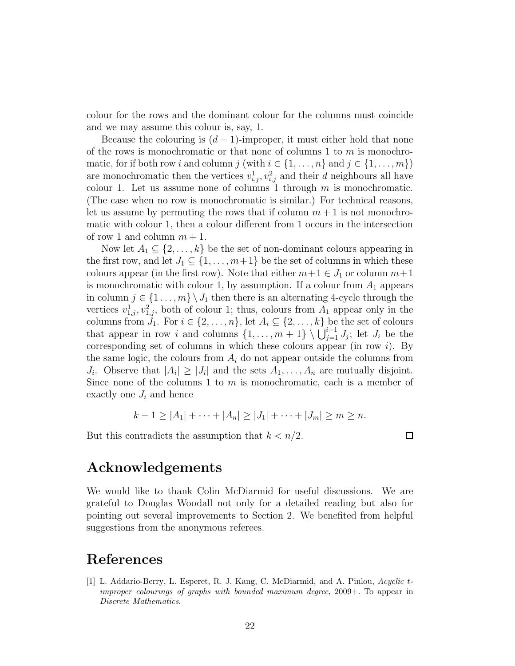colour for the rows and the dominant colour for the columns must coincide and we may assume this colour is, say, 1.

Because the colouring is  $(d-1)$ -improper, it must either hold that none of the rows is monochromatic or that none of columns 1 to  $m$  is monochromatic, for if both row i and column j (with  $i \in \{1, \ldots, n\}$  and  $j \in \{1, \ldots, m\}$ ) are monochromatic then the vertices  $v_{i,j}^1, v_{i,j}^2$  and their d neighbours all have colour 1. Let us assume none of columns 1 through  $m$  is monochromatic. (The case when no row is monochromatic is similar.) For technical reasons, let us assume by permuting the rows that if column  $m + 1$  is not monochromatic with colour 1, then a colour different from 1 occurs in the intersection of row 1 and column  $m + 1$ .

Now let  $A_1 \subseteq \{2, \ldots, k\}$  be the set of non-dominant colours appearing in the first row, and let  $J_1 \subseteq \{1, \ldots, m+1\}$  be the set of columns in which these colours appear (in the first row). Note that either  $m+1 \in J_1$  or column  $m+1$ is monochromatic with colour 1, by assumption. If a colour from  $A_1$  appears in column  $j \in \{1 \ldots, m\} \setminus J_1$  then there is an alternating 4-cycle through the vertices  $v_{1,j}^1, v_{1,j}^2$ , both of colour 1; thus, colours from  $A_1$  appear only in the columns from  $J_1$ . For  $i \in \{2, \ldots, n\}$ , let  $A_i \subseteq \{2, \ldots, k\}$  be the set of colours that appear in row i and columns  $\{1, \ldots, m+1\} \setminus \bigcup_{j=1}^{i-1} J_j$ ; let  $J_i$  be the corresponding set of columns in which these colours appear (in row  $i$ ). By the same logic, the colours from  $A_i$  do not appear outside the columns from  $J_i$ . Observe that  $|A_i| \geq |J_i|$  and the sets  $A_1, \ldots, A_n$  are mutually disjoint. Since none of the columns 1 to  $m$  is monochromatic, each is a member of exactly one  $J_i$  and hence

$$
k-1 \ge |A_1| + \cdots + |A_n| \ge |J_1| + \cdots + |J_m| \ge m \ge n.
$$

But this contradicts the assumption that  $k < n/2$ .

口

# Acknowledgements

We would like to thank Colin McDiarmid for useful discussions. We are grateful to Douglas Woodall not only for a detailed reading but also for pointing out several improvements to Section 2. We benefited from helpful suggestions from the anonymous referees.

## References

[1] L. Addario-Berry, L. Esperet, R. J. Kang, C. McDiarmid, and A. Pinlou, Acyclic timproper colourings of graphs with bounded maximum degree, 2009+. To appear in Discrete Mathematics.